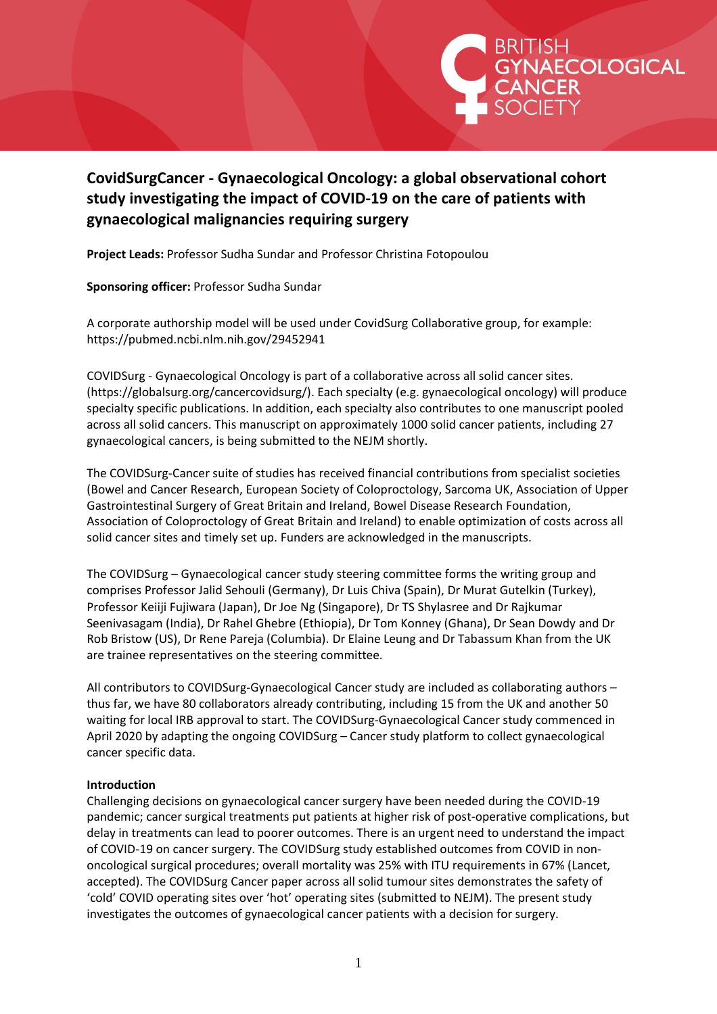

# **CovidSurgCancer - Gynaecological Oncology: a global observational cohort study investigating the impact of COVID-19 on the care of patients with gynaecological malignancies requiring surgery**

**Project Leads:** Professor Sudha Sundar and Professor Christina Fotopoulou

**Sponsoring officer:** Professor Sudha Sundar

A corporate authorship model will be used under CovidSurg Collaborative group, for example: <https://pubmed.ncbi.nlm.nih.gov/29452941>

COVIDSurg - Gynaecological Oncology is part of a collaborative across all solid cancer sites. [\(https://globalsurg.org/cancercovidsurg/\).](https://globalsurg.org/cancercovidsurg/)) Each specialty (e.g. gynaecological oncology) will produce specialty specific publications. In addition, each specialty also contributes to one manuscript pooled across all solid cancers. This manuscript on approximately 1000 solid cancer patients, including 27 gynaecological cancers, is being submitted to the NEJM shortly.

The COVIDSurg-Cancer suite of studies has received financial contributions from specialist societies (Bowel and Cancer Research, European Society of Coloproctology, Sarcoma UK, Association of Upper Gastrointestinal Surgery of Great Britain and Ireland, Bowel Disease Research Foundation, Association of Coloproctology of Great Britain and Ireland) to enable optimization of costs across all solid cancer sites and timely set up. Funders are acknowledged in the manuscripts.

The COVIDSurg – Gynaecological cancer study steering committee forms the writing group and comprises Professor Jalid Sehouli (Germany), Dr Luis Chiva (Spain), Dr Murat Gutelkin (Turkey), Professor Keiiji Fujiwara (Japan), Dr Joe Ng (Singapore), Dr TS Shylasree and Dr Rajkumar Seenivasagam (India), Dr Rahel Ghebre (Ethiopia), Dr Tom Konney (Ghana), Dr Sean Dowdy and Dr Rob Bristow (US), Dr Rene Pareja (Columbia). Dr Elaine Leung and Dr Tabassum Khan from the UK are trainee representatives on the steering committee.

All contributors to COVIDSurg-Gynaecological Cancer study are included as collaborating authors – thus far, we have 80 collaborators already contributing, including 15 from the UK and another 50 waiting for local IRB approval to start. The COVIDSurg-Gynaecological Cancer study commenced in April 2020 by adapting the ongoing COVIDSurg – Cancer study platform to collect gynaecological cancer specific data.

### **Introduction**

Challenging decisions on gynaecological cancer surgery have been needed during the COVID-19 pandemic; cancer surgical treatments put patients at higher risk of post-operative complications, but delay in treatments can lead to poorer outcomes. There is an urgent need to understand the impact of COVID-19 on cancer surgery. The COVIDSurg study established outcomes from COVID in nononcological surgical procedures; overall mortality was 25% with ITU requirements in 67% (Lancet, accepted). The COVIDSurg Cancer paper across all solid tumour sites demonstrates the safety of 'cold' COVID operating sites over 'hot' operating sites (submitted to NEJM). The present study investigates the outcomes of gynaecological cancer patients with a decision for surgery.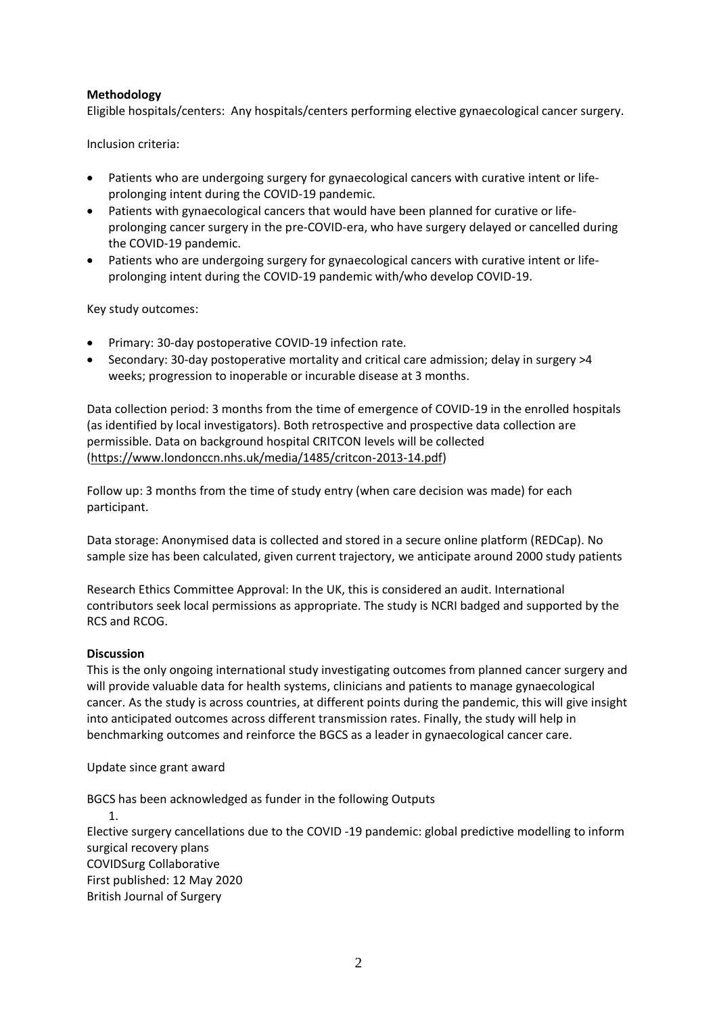#### **Methodology**

Eligible hospitals/centers: Any hospitals/centers performing elective gynaecological cancer surgery.

Inclusion criteria:

- Patients who are undergoing surgery for gynaecological cancers with curative intent or lifeprolonging intent during the COVID-19 pandemic.
- Patients with gynaecological cancers that would have been planned for curative or lifeprolonging cancer surgery in the pre-COVID-era, who have surgery delayed or cancelled during the COVID-19 pandemic.
- Patients who are undergoing surgery for gynaecological cancers with curative intent or lifeprolonging intent during the COVID-19 pandemic with/who develop COVID-19.

Key study outcomes:

- Primary: 30-day postoperative COVID-19 infection rate.
- Secondary: 30-day postoperative mortality and critical care admission; delay in surgery >4 weeks; progression to inoperable or incurable disease at 3 months.

Data collection period: 3 months from the time of emergence of COVID-19 in the enrolled hospitals (as identified by local investigators). Both retrospective and prospective data collection are permissible. Data on background hospital CRITCON levels will be collected ([https://www.londonccn.nhs.uk/media/1485/critcon-2013-14.pdf\)](https://www.londonccn.nhs.uk/media/1485/critcon-2013-14.pdf)

Follow up: 3 months from the time of study entry (when care decision was made) for each participant.

Data storage: Anonymised data is collected and stored in a secure online platform (REDCap). No sample size has been calculated, given current trajectory, we anticipate around 2000 study patients

Research Ethics Committee Approval: In the UK, this is considered an audit. International contributors seek local permissions as appropriate. The study is NCRI badged and supported by the RCS and RCOG.

#### **Discussion**

This is the only ongoing international study investigating outcomes from planned cancer surgery and will provide valuable data for health systems, clinicians and patients to manage gynaecological cancer. As the study is across countries, at different points during the pandemic, this will give insight into anticipated outcomes across different transmission rates. Finally, the study will help in benchmarking outcomes and reinforce the BGCS as a leader in gynaecological cancer care.

Update since grant award

BGCS has been acknowledged as funder in the following Outputs

1.

Elective surgery cancellations due to the COVID ‐19 pandemic: global predictive modelling to inform surgical recovery plans COVIDSurg [Collaborative](https://bjssjournals.onlinelibrary.wiley.com/action/doSearch?ContribAuthorStored=COVIDSurg+Collaborative) First published: 12 May 2020 British Journal of Surgery